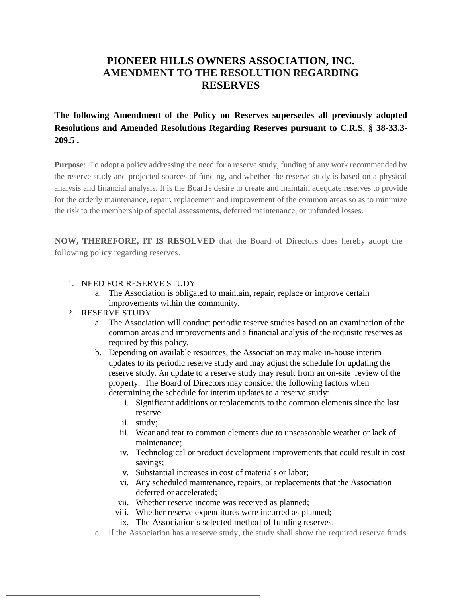## **PIONEER HILLS OWNERS ASSOCIATION, INC. AMENDMENT TO THE RESOLUTION REGARDING RESERVES**

## **The following Amendment of the Policy on Reserves supersedes all previously adopted Resolutions and Amended Resolutions Regarding Reserves pursuant to C.R.S. § 38-33.3- 209.5 .**

**Purpose**: To adopt a policy addressing the need for a reserve study, funding of any work recommended by the reserve study and projected sources of funding, and whether the reserve study is based on a physical analysis and financial analysis. It is the Board's desire to create and maintain adequate reserves to provide for the orderly maintenance, repair, replacement and improvement of the common areas so as to minimize the risk to the membership of special assessments, deferred maintenance, or unfunded losses.

**NOW, THEREFORE, IT IS RESOLVED** that the Board of Directors does hereby adopt the following policy regarding reserves.

### 1. NEED FOR RESERVE STUDY

- a. The Association is obligated to maintain, repair, replace or improve certain improvements within the community.
- 2. RESERVE STUDY
	- a. The Association will conduct periodic reserve studies based on an examination of the common areas and improvements and a financial analysis of the requisite reserves as required by this policy.
	- b. Depending on available resources, the Association may make in-house interim updates to its periodic reserve study and may adjust the schedule for updating the reserve study. An update to a reserve study may result from an on-site review of the property. The Board of Directors may consider the following factors when determining the schedule for interim updates to a reserve study:
		- i. Significant additions or replacements to the common elements since the last reserve
		- ii. study;
		- iii. Wear and tear to common elements due to unseasonable weather or lack of maintenance;
		- iv. Technological or product development improvements that could result in cost savings;
		- v. Substantial increases in cost of materials or labor;
		- vi. Any scheduled maintenance, repairs, or replacements that the Association deferred or accelerated;
		- vii. Whether reserve income was received as planned;
		- viii. Whether reserve expenditures were incurred as planned;
		- ix. The Association's selected method of funding reserves.
	- c. If the Association has a reserve study, the study shall show the required reserve funds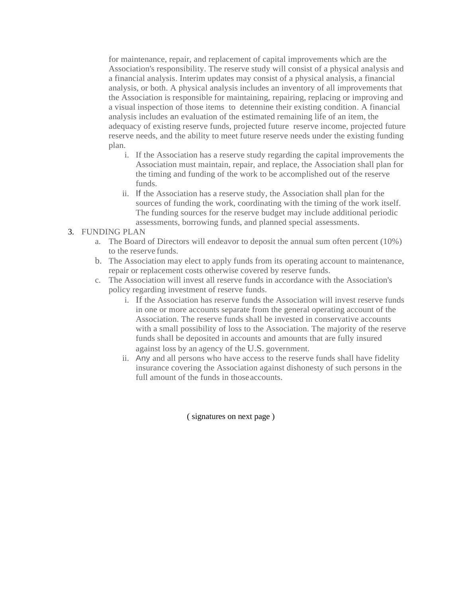for maintenance, repair, and replacement of capital improvements which are the Association's responsibility. The reserve study will consist of a physical analysis and a financial analysis. Interim updates may consist of a physical analysis, a financial analysis, or both. A physical analysis includes an inventory of all improvements that the Association is responsible for maintaining, repairing, replacing or improving and a visual inspection of those items to detennine their existing condition. A financial analysis includes an evaluation of the estimated remaining life of an item, the adequacy of existing reserve funds, projected future reserve income, projected future reserve needs, and the ability to meet future reserve needs under the existing funding plan.

- i. If the Association has a reserve study regarding the capital improvements the Association must maintain, repair, and replace, the Association shall plan for the timing and funding of the work to be accomplished out of the reserve funds.
- ii. If the Association has a reserve study, the Association shall plan for the sources of funding the work, coordinating with the timing of the work itself. The funding sources for the reserve budget may include additional periodic assessments, borrowing funds, and planned special assessments.

#### 3. FUNDING PLAN

- a. The Board of Directors will endeavor to deposit the annual sum often percent (10%) to the reserve funds.
- b. The Association may elect to apply funds from its operating account to maintenance, repair or replacement costs otherwise covered by reserve funds.
- c. The Association will invest all reserve funds in accordance with the Association's policy regarding investment of reserve funds.
	- i. If the Association has reserve funds the Association will invest reserve funds in one or more accounts separate from the general operating account of the Association. The reserve funds shall be invested in conservative accounts with a small possibility of loss to the Association. The majority of the reserve funds shall be deposited in accounts and amounts that are fully insured against loss by an agency of the U.S. government.
	- ii. Any and all persons who have access to the reserve funds shall have fidelity insurance covering the Association against dishonesty of such persons in the full amount of the funds in those accounts.

( signatures on next page )